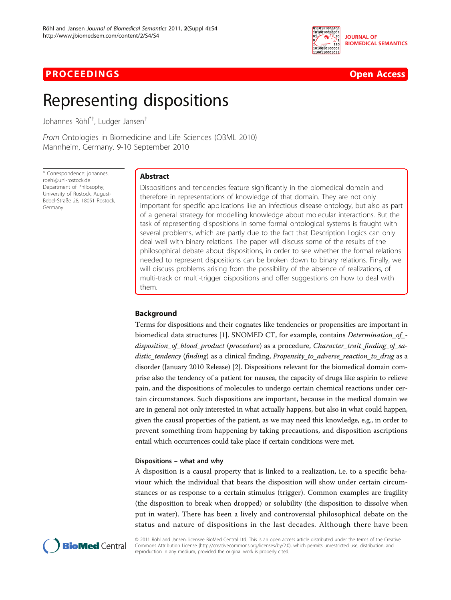

**BIOMEDICAL SEMANTICS**

# **PROCEEDINGS** Open Access **open Access** of the state of the state of the state of the state of the state of the state of the state of the state of the state of the state of the state of the state of the state of the state

# Representing dispositions

Johannes Röhl\*† , Ludger Jansen†

From Ontologies in Biomedicine and Life Sciences (OBML 2010) Mannheim, Germany. 9-10 September 2010

\* Correspondence: [johannes.](mailto:johannes.roehl@uni-rostock.de) [roehl@uni-rostock.de](mailto:johannes.roehl@uni-rostock.de) Department of Philosophy, University of Rostock, August-Bebel-Straße 28, 18051 Rostock, Germany

# Abstract

Dispositions and tendencies feature significantly in the biomedical domain and therefore in representations of knowledge of that domain. They are not only important for specific applications like an infectious disease ontology, but also as part of a general strategy for modelling knowledge about molecular interactions. But the task of representing dispositions in some formal ontological systems is fraught with several problems, which are partly due to the fact that Description Logics can only deal well with binary relations. The paper will discuss some of the results of the philosophical debate about dispositions, in order to see whether the formal relations needed to represent dispositions can be broken down to binary relations. Finally, we will discuss problems arising from the possibility of the absence of realizations, of multi-track or multi-trigger dispositions and offer suggestions on how to deal with them.

# Background

Terms for dispositions and their cognates like tendencies or propensities are important in biomedical data structures [[1\]](#page-11-0). SNOMED CT, for example, contains *Determination\_of\_*disposition\_of\_blood\_product (procedure) as a procedure, Character\_trait\_finding\_of\_sadistic\_tendency (finding) as a clinical finding, Propensity\_to\_adverse\_reaction\_to\_drug as a disorder (January 2010 Release) [\[2\]](#page-11-0). Dispositions relevant for the biomedical domain comprise also the tendency of a patient for nausea, the capacity of drugs like aspirin to relieve pain, and the dispositions of molecules to undergo certain chemical reactions under certain circumstances. Such dispositions are important, because in the medical domain we are in general not only interested in what actually happens, but also in what could happen, given the causal properties of the patient, as we may need this knowledge, e.g., in order to prevent something from happening by taking precautions, and disposition ascriptions entail which occurrences could take place if certain conditions were met.

# Dispositions – what and why

A disposition is a causal property that is linked to a realization, i.e. to a specific behaviour which the individual that bears the disposition will show under certain circumstances or as response to a certain stimulus (trigger). Common examples are fragility (the disposition to break when dropped) or solubility (the disposition to dissolve when put in water). There has been a lively and controversial philosophical debate on the status and nature of dispositions in the last decades. Although there have been



© 2011 Röhl and Jansen; licensee BioMed Central Ltd. This is an open access article distributed under the terms of the Creative Commons Attribution License [\(http://creativecommons.org/licenses/by/2.0](http://creativecommons.org/licenses/by/2.0)), which permits unrestricted use, distribution, and reproduction in any medium, provided the original work is properly cited.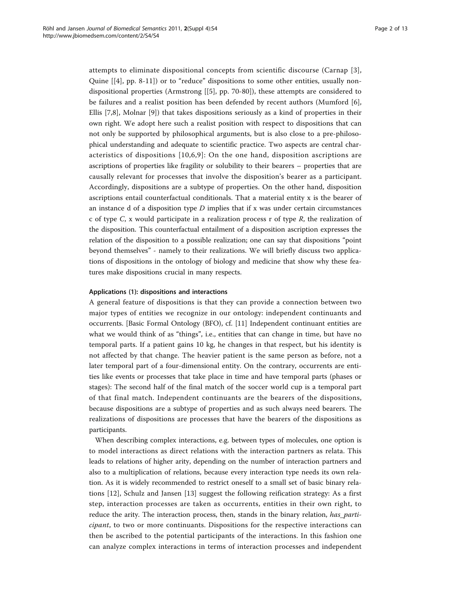attempts to eliminate dispositional concepts from scientific discourse (Carnap [[3](#page-11-0)], Quine [[\[4](#page-11-0)], pp. 8-11]) or to "reduce" dispositions to some other entities, usually nondispositional properties (Armstrong [[\[5](#page-11-0)], pp. 70-80]), these attempts are considered to be failures and a realist position has been defended by recent authors (Mumford [\[6](#page-11-0)], Ellis [\[7](#page-11-0),[8\]](#page-11-0), Molnar [\[9](#page-11-0)]) that takes dispositions seriously as a kind of properties in their own right. We adopt here such a realist position with respect to dispositions that can not only be supported by philosophical arguments, but is also close to a pre-philosophical understanding and adequate to scientific practice. Two aspects are central characteristics of dispositions [[10,6,9\]](#page-11-0): On the one hand, disposition ascriptions are ascriptions of properties like fragility or solubility to their bearers – properties that are causally relevant for processes that involve the disposition's bearer as a participant. Accordingly, dispositions are a subtype of properties. On the other hand, disposition ascriptions entail counterfactual conditionals. That a material entity x is the bearer of an instance d of a disposition type  $D$  implies that if  $x$  was under certain circumstances c of type C, x would participate in a realization process r of type R, the realization of the disposition. This counterfactual entailment of a disposition ascription expresses the relation of the disposition to a possible realization; one can say that dispositions "point beyond themselves" - namely to their realizations. We will briefly discuss two applications of dispositions in the ontology of biology and medicine that show why these features make dispositions crucial in many respects.

#### Applications (1): dispositions and interactions

A general feature of dispositions is that they can provide a connection between two major types of entities we recognize in our ontology: independent continuants and occurrents. [Basic Formal Ontology (BFO), cf. [[11\]](#page-11-0) Independent continuant entities are what we would think of as "things", i.e., entities that can change in time, but have no temporal parts. If a patient gains 10 kg, he changes in that respect, but his identity is not affected by that change. The heavier patient is the same person as before, not a later temporal part of a four-dimensional entity. On the contrary, occurrents are entities like events or processes that take place in time and have temporal parts (phases or stages): The second half of the final match of the soccer world cup is a temporal part of that final match. Independent continuants are the bearers of the dispositions, because dispositions are a subtype of properties and as such always need bearers. The realizations of dispositions are processes that have the bearers of the dispositions as participants.

When describing complex interactions, e.g. between types of molecules, one option is to model interactions as direct relations with the interaction partners as relata. This leads to relations of higher arity, depending on the number of interaction partners and also to a multiplication of relations, because every interaction type needs its own relation. As it is widely recommended to restrict oneself to a small set of basic binary relations [[12\]](#page-11-0), Schulz and Jansen [[13\]](#page-11-0) suggest the following reification strategy: As a first step, interaction processes are taken as occurrents, entities in their own right, to reduce the arity. The interaction process, then, stands in the binary relation, has\_participant, to two or more continuants. Dispositions for the respective interactions can then be ascribed to the potential participants of the interactions. In this fashion one can analyze complex interactions in terms of interaction processes and independent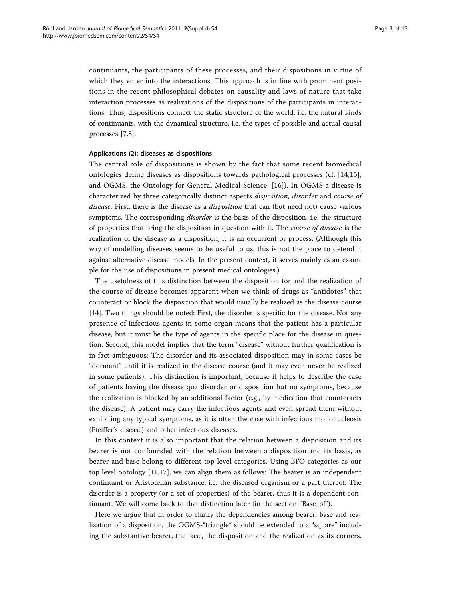continuants, the participants of these processes, and their dispositions in virtue of which they enter into the interactions. This approach is in line with prominent positions in the recent philosophical debates on causality and laws of nature that take interaction processes as realizations of the dispositions of the participants in interactions. Thus, dispositions connect the static structure of the world, i.e. the natural kinds of continuants, with the dynamical structure, i.e. the types of possible and actual causal processes [\[7,8](#page-11-0)].

#### Applications (2): diseases as dispositions

The central role of dispositions is shown by the fact that some recent biomedical ontologies define diseases as dispositions towards pathological processes (cf. [[14,](#page-11-0)[15](#page-12-0)], and OGMS, the Ontology for General Medical Science, [[16](#page-12-0)]). In OGMS a disease is characterized by three categorically distinct aspects disposition, disorder and course of disease. First, there is the disease as a *disposition* that can (but need not) cause various symptoms. The corresponding *disorder* is the basis of the disposition, i.e. the structure of properties that bring the disposition in question with it. The course of disease is the realization of the disease as a disposition; it is an occurrent or process. (Although this way of modelling diseases seems to be useful to us, this is not the place to defend it against alternative disease models. In the present context, it serves mainly as an example for the use of dispositions in present medical ontologies.)

The usefulness of this distinction between the disposition for and the realization of the course of disease becomes apparent when we think of drugs as "antidotes" that counteract or block the disposition that would usually be realized as the disease course [[14\]](#page-11-0). Two things should be noted: First, the disorder is specific for the disease. Not any presence of infectious agents in some organ means that the patient has a particular disease, but it must be the type of agents in the specific place for the disease in question. Second, this model implies that the term "disease" without further qualification is in fact ambiguous: The disorder and its associated disposition may in some cases be "dormant" until it is realized in the disease course (and it may even never be realized in some patients). This distinction is important, because it helps to describe the case of patients having the disease qua disorder or disposition but no symptoms, because the realization is blocked by an additional factor (e.g., by medication that counteracts the disease). A patient may carry the infectious agents and even spread them without exhibiting any typical symptoms, as it is often the case with infectious mononucleosis (Pfeiffer's disease) and other infectious diseases.

In this context it is also important that the relation between a disposition and its bearer is not confounded with the relation between a disposition and its basis, as bearer and base belong to different top level categories. Using BFO categories as our top level ontology [[11,](#page-11-0)[17\]](#page-12-0), we can align them as follows: The bearer is an independent continuant or Aristotelian substance, i.e. the diseased organism or a part thereof. The disorder is a property (or a set of properties) of the bearer, thus it is a dependent continuant. We will come back to that distinction later (in the section "Base\_of").

Here we argue that in order to clarify the dependencies among bearer, base and realization of a disposition, the OGMS-"triangle" should be extended to a "square" including the substantive bearer, the base, the disposition and the realization as its corners.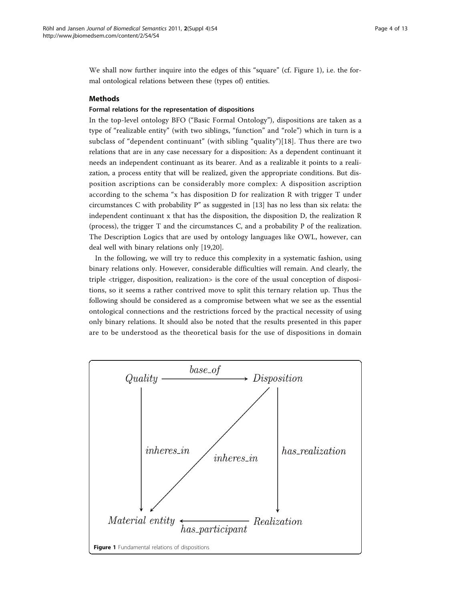<span id="page-3-0"></span>We shall now further inquire into the edges of this "square" (cf. Figure 1), i.e. the formal ontological relations between these (types of) entities.

# Methods

# Formal relations for the representation of dispositions

In the top-level ontology BFO ("Basic Formal Ontology"), dispositions are taken as a type of "realizable entity" (with two siblings, "function" and "role") which in turn is a subclass of "dependent continuant" (with sibling "quality")[[18](#page-12-0)]. Thus there are two relations that are in any case necessary for a disposition: As a dependent continuant it needs an independent continuant as its bearer. And as a realizable it points to a realization, a process entity that will be realized, given the appropriate conditions. But disposition ascriptions can be considerably more complex: A disposition ascription according to the schema "x has disposition D for realization R with trigger T under circumstances C with probability P" as suggested in [[13\]](#page-11-0) has no less than six relata: the independent continuant x that has the disposition, the disposition D, the realization R (process), the trigger T and the circumstances C, and a probability P of the realization. The Description Logics that are used by ontology languages like OWL, however, can deal well with binary relations only [[19,20](#page-12-0)].

In the following, we will try to reduce this complexity in a systematic fashion, using binary relations only. However, considerable difficulties will remain. And clearly, the triple <trigger, disposition, realization> is the core of the usual conception of dispositions, so it seems a rather contrived move to split this ternary relation up. Thus the following should be considered as a compromise between what we see as the essential ontological connections and the restrictions forced by the practical necessity of using only binary relations. It should also be noted that the results presented in this paper are to be understood as the theoretical basis for the use of dispositions in domain

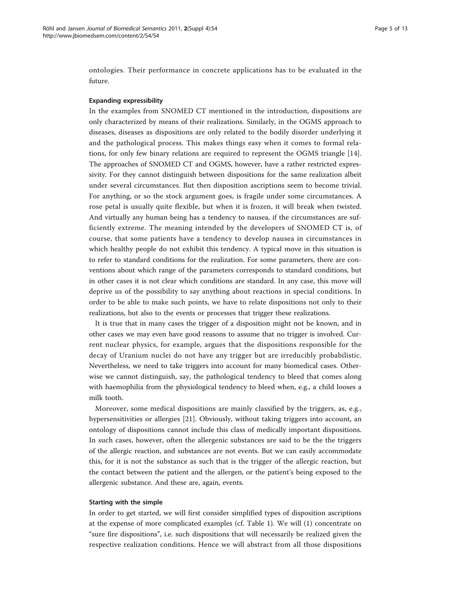ontologies. Their performance in concrete applications has to be evaluated in the future.

#### Expanding expressibility

In the examples from SNOMED CT mentioned in the introduction, dispositions are only characterized by means of their realizations. Similarly, in the OGMS approach to diseases, diseases as dispositions are only related to the bodily disorder underlying it and the pathological process. This makes things easy when it comes to formal relations, for only few binary relations are required to represent the OGMS triangle [\[14](#page-11-0)]. The approaches of SNOMED CT and OGMS, however, have a rather restricted expressivity. For they cannot distinguish between dispositions for the same realization albeit under several circumstances. But then disposition ascriptions seem to become trivial. For anything, or so the stock argument goes, is fragile under some circumstances. A rose petal is usually quite flexible, but when it is frozen, it will break when twisted. And virtually any human being has a tendency to nausea, if the circumstances are sufficiently extreme. The meaning intended by the developers of SNOMED CT is, of course, that some patients have a tendency to develop nausea in circumstances in which healthy people do not exhibit this tendency. A typical move in this situation is to refer to standard conditions for the realization. For some parameters, there are conventions about which range of the parameters corresponds to standard conditions, but in other cases it is not clear which conditions are standard. In any case, this move will deprive us of the possibility to say anything about reactions in special conditions. In order to be able to make such points, we have to relate dispositions not only to their realizations, but also to the events or processes that trigger these realizations.

It is true that in many cases the trigger of a disposition might not be known, and in other cases we may even have good reasons to assume that no trigger is involved. Current nuclear physics, for example, argues that the dispositions responsible for the decay of Uranium nuclei do not have any trigger but are irreducibly probabilistic. Nevertheless, we need to take triggers into account for many biomedical cases. Otherwise we cannot distinguish, say, the pathological tendency to bleed that comes along with haemophilia from the physiological tendency to bleed when, e.g., a child looses a milk tooth.

Moreover, some medical dispositions are mainly classified by the triggers, as, e.g., hypersensitivities or allergies [[21\]](#page-12-0). Obviously, without taking triggers into account, an ontology of dispositions cannot include this class of medically important dispositions. In such cases, however, often the allergenic substances are said to be the the triggers of the allergic reaction, and substances are not events. But we can easily accommodate this, for it is not the substance as such that is the trigger of the allergic reaction, but the contact between the patient and the allergen, or the patient's being exposed to the allergenic substance. And these are, again, events.

#### Starting with the simple

In order to get started, we will first consider simplified types of disposition ascriptions at the expense of more complicated examples (cf. Table [1](#page-5-0)). We will (1) concentrate on "sure fire dispositions", i.e. such dispositions that will necessarily be realized given the respective realization conditions. Hence we will abstract from all those dispositions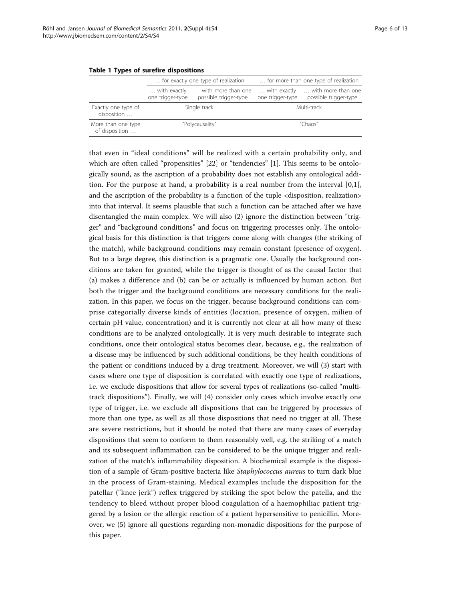<span id="page-5-0"></span>

|  |  |  |  | Table 1 Types of surefire dispositions |
|--|--|--|--|----------------------------------------|
|--|--|--|--|----------------------------------------|

|                                      | for exactly one type of realization                                             | for more than one type of realization                                           |  |
|--------------------------------------|---------------------------------------------------------------------------------|---------------------------------------------------------------------------------|--|
|                                      | with more than one<br>with exactly<br>possible trigger-type<br>one trigger-type | with more than one<br>with exactly<br>possible trigger-type<br>one trigger-type |  |
| Exactly one type of<br>disposition   | Single track                                                                    | Multi-track                                                                     |  |
| More than one type<br>of disposition | "Polycausality"                                                                 | "Chaos"                                                                         |  |

that even in "ideal conditions" will be realized with a certain probability only, and which are often called "propensities" [\[22\]](#page-12-0) or "tendencies" [\[1](#page-11-0)]. This seems to be ontologically sound, as the ascription of a probability does not establish any ontological addition. For the purpose at hand, a probability is a real number from the interval  $[0,1]$ , and the ascription of the probability is a function of the tuple <disposition, realization> into that interval. It seems plausible that such a function can be attached after we have disentangled the main complex. We will also (2) ignore the distinction between "trigger" and "background conditions" and focus on triggering processes only. The ontological basis for this distinction is that triggers come along with changes (the striking of the match), while background conditions may remain constant (presence of oxygen). But to a large degree, this distinction is a pragmatic one. Usually the background conditions are taken for granted, while the trigger is thought of as the causal factor that (a) makes a difference and (b) can be or actually is influenced by human action. But both the trigger and the background conditions are necessary conditions for the realization. In this paper, we focus on the trigger, because background conditions can comprise categorially diverse kinds of entities (location, presence of oxygen, milieu of certain pH value, concentration) and it is currently not clear at all how many of these conditions are to be analyzed ontologically. It is very much desirable to integrate such conditions, once their ontological status becomes clear, because, e.g., the realization of a disease may be influenced by such additional conditions, be they health conditions of the patient or conditions induced by a drug treatment. Moreover, we will (3) start with cases where one type of disposition is correlated with exactly one type of realizations, i.e. we exclude dispositions that allow for several types of realizations (so-called "multitrack dispositions"). Finally, we will (4) consider only cases which involve exactly one type of trigger, i.e. we exclude all dispositions that can be triggered by processes of more than one type, as well as all those dispositions that need no trigger at all. These are severe restrictions, but it should be noted that there are many cases of everyday dispositions that seem to conform to them reasonably well, e.g. the striking of a match and its subsequent inflammation can be considered to be the unique trigger and realization of the match's inflammability disposition. A biochemical example is the disposition of a sample of Gram-positive bacteria like Staphylococcus aureus to turn dark blue in the process of Gram-staining. Medical examples include the disposition for the patellar ("knee jerk") reflex triggered by striking the spot below the patella, and the tendency to bleed without proper blood coagulation of a haemophiliac patient triggered by a lesion or the allergic reaction of a patient hypersensitive to penicillin. Moreover, we (5) ignore all questions regarding non-monadic dispositions for the purpose of this paper.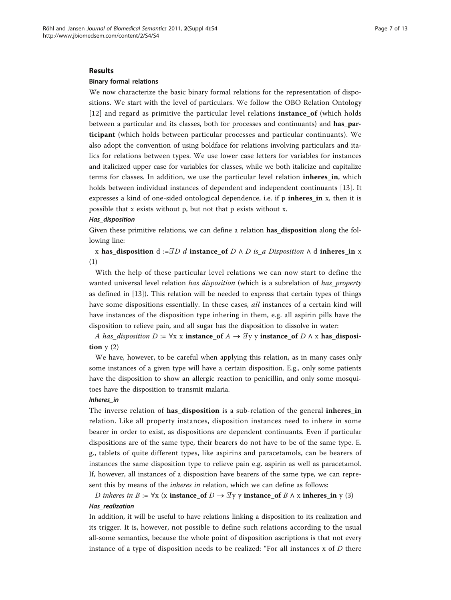#### Results

#### Binary formal relations

We now characterize the basic binary formal relations for the representation of dispositions. We start with the level of particulars. We follow the OBO Relation Ontology [[12](#page-11-0)] and regard as primitive the particular level relations instance\_of (which holds between a particular and its classes, both for processes and continuants) and has\_participant (which holds between particular processes and particular continuants). We also adopt the convention of using boldface for relations involving particulars and italics for relations between types. We use lower case letters for variables for instances and italicized upper case for variables for classes, while we both italicize and capitalize terms for classes. In addition, we use the particular level relation inheres\_in, which holds between individual instances of dependent and independent continuants [\[13](#page-11-0)]. It expresses a kind of one-sided ontological dependence, i.e. if  $p$  inheres in  $x$ , then it is possible that x exists without p, but not that p exists without x.

#### Has\_disposition

Given these primitive relations, we can define a relation has disposition along the following line:

x has\_disposition  $\textsf{d}:=\!\!\exists D\;d$  instance\_of  $D\land D$  is\_a Disposition  $\land$   $\textsf{d}$  inheres\_in  $\textsf{x}$ (1)

With the help of these particular level relations we can now start to define the wanted universal level relation has disposition (which is a subrelation of has\_property as defined in [[13](#page-11-0)]). This relation will be needed to express that certain types of things have some dispositions essentially. In these cases, all instances of a certain kind will have instances of the disposition type inhering in them, e.g. all aspirin pills have the disposition to relieve pain, and all sugar has the disposition to dissolve in water:

A has\_disposition D :=  $\forall x \ x$  instance\_of  $A \rightarrow \exists y \ y$  instance\_of D  $\land x$  has\_disposition  $y(2)$ 

We have, however, to be careful when applying this relation, as in many cases only some instances of a given type will have a certain disposition. E.g., only some patients have the disposition to show an allergic reaction to penicillin, and only some mosquitoes have the disposition to transmit malaria.

#### Inheres\_in

The inverse relation of has disposition is a sub-relation of the general inheres in relation. Like all property instances, disposition instances need to inhere in some bearer in order to exist, as dispositions are dependent continuants. Even if particular dispositions are of the same type, their bearers do not have to be of the same type. E. g., tablets of quite different types, like aspirins and paracetamols, can be bearers of instances the same disposition type to relieve pain e.g. aspirin as well as paracetamol. If, however, all instances of a disposition have bearers of the same type, we can represent this by means of the inheres in relation, which we can define as follows:

D inheres in B :=  $\forall x$  (x instance\_of  $D \to \exists y$  y instance\_of B  $\land$  x inheres\_in y (3) Has realization

In addition, it will be useful to have relations linking a disposition to its realization and its trigger. It is, however, not possible to define such relations according to the usual all-some semantics, because the whole point of disposition ascriptions is that not every instance of a type of disposition needs to be realized: "For all instances  $x$  of  $D$  there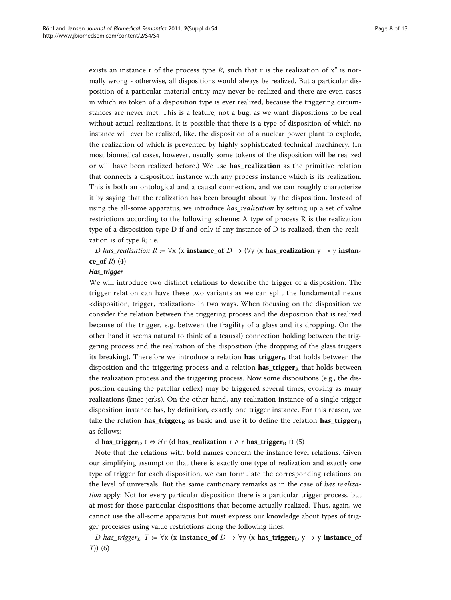exists an instance r of the process type  $R$ , such that r is the realization of  $x''$  is normally wrong - otherwise, all dispositions would always be realized. But a particular disposition of a particular material entity may never be realized and there are even cases in which no token of a disposition type is ever realized, because the triggering circumstances are never met. This is a feature, not a bug, as we want dispositions to be real without actual realizations. It is possible that there is a type of disposition of which no instance will ever be realized, like, the disposition of a nuclear power plant to explode, the realization of which is prevented by highly sophisticated technical machinery. (In most biomedical cases, however, usually some tokens of the disposition will be realized or will have been realized before.) We use has\_realization as the primitive relation that connects a disposition instance with any process instance which is its realization. This is both an ontological and a causal connection, and we can roughly characterize it by saying that the realization has been brought about by the disposition. Instead of using the all-some apparatus, we introduce *has\_realization* by setting up a set of value restrictions according to the following scheme: A type of process R is the realization type of a disposition type D if and only if any instance of D is realized, then the realization is of type R; i.e.

D has\_realization R :=  $\forall x$  (x instance\_of  $D \rightarrow (\forall y$  (x has\_realization  $y \rightarrow y$  instance of  $R$ ) (4)

# Has\_trigger

We will introduce two distinct relations to describe the trigger of a disposition. The trigger relation can have these two variants as we can split the fundamental nexus <disposition, trigger, realization> in two ways. When focusing on the disposition we consider the relation between the triggering process and the disposition that is realized because of the trigger, e.g. between the fragility of a glass and its dropping. On the other hand it seems natural to think of a (causal) connection holding between the triggering process and the realization of the disposition (the dropping of the glass triggers its breaking). Therefore we introduce a relation has trigger<sub>D</sub> that holds between the disposition and the triggering process and a relation  $has\_trigger_R$  that holds between the realization process and the triggering process. Now some dispositions (e.g., the disposition causing the patellar reflex) may be triggered several times, evoking as many realizations (knee jerks). On the other hand, any realization instance of a single-trigger disposition instance has, by definition, exactly one trigger instance. For this reason, we take the relation has\_trigger<sub>R</sub> as basic and use it to define the relation has\_trigger<sub>D</sub> as follows:

d has\_trigger<sub>D</sub> t  $\Leftrightarrow$   $\pi$ r (d has\_realization r  $\wedge$  r has\_trigger<sub>R</sub> t) (5)

Note that the relations with bold names concern the instance level relations. Given our simplifying assumption that there is exactly one type of realization and exactly one type of trigger for each disposition, we can formulate the corresponding relations on the level of universals. But the same cautionary remarks as in the case of has realization apply: Not for every particular disposition there is a particular trigger process, but at most for those particular dispositions that become actually realized. Thus, again, we cannot use the all-some apparatus but must express our knowledge about types of trigger processes using value restrictions along the following lines:

D has\_trigger<sub>D</sub> T :=  $\forall x$  (x instance\_of D  $\rightarrow \forall y$  (x has\_trigger<sub>D</sub>  $y \rightarrow y$  instance\_of T)) (6)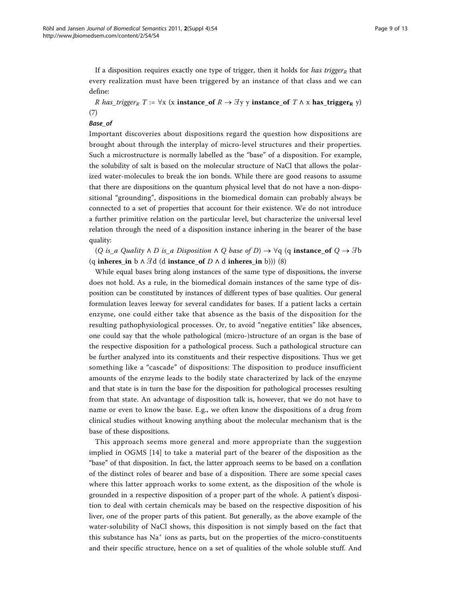If a disposition requires exactly one type of trigger, then it holds for has trigger<sub>R</sub> that every realization must have been triggered by an instance of that class and we can define:

*R has\_trigger<sub>R</sub>*  $T$  :=  $\forall$ x (x **instance\_of**  $R \to \exists$ y y **instance\_of**  $T \wedge$  x **has\_trigger**<sub>R</sub> y) (7)

#### Base\_of

Important discoveries about dispositions regard the question how dispositions are brought about through the interplay of micro-level structures and their properties. Such a microstructure is normally labelled as the "base" of a disposition. For example, the solubility of salt is based on the molecular structure of NaCl that allows the polarized water-molecules to break the ion bonds. While there are good reasons to assume that there are dispositions on the quantum physical level that do not have a non-dispositional "grounding", dispositions in the biomedical domain can probably always be connected to a set of properties that account for their existence. We do not introduce a further primitive relation on the particular level, but characterize the universal level relation through the need of a disposition instance inhering in the bearer of the base quality:

 $(Q \text{ is}_a \text{ Quality} \land D \text{ is}_a \text{ Disposition} \land Q \text{ base of } D) \rightarrow \forall q \text{ (}q \text{ instance}_o f Q \rightarrow \exists b$ (q inheres\_in b  $\wedge$   $\overline{A}$ d (d instance\_of D  $\wedge$  d inheres\_in b))) (8)

While equal bases bring along instances of the same type of dispositions, the inverse does not hold. As a rule, in the biomedical domain instances of the same type of disposition can be constituted by instances of different types of base qualities. Our general formulation leaves leeway for several candidates for bases. If a patient lacks a certain enzyme, one could either take that absence as the basis of the disposition for the resulting pathophysiological processes. Or, to avoid "negative entities" like absences, one could say that the whole pathological (micro-)structure of an organ is the base of the respective disposition for a pathological process. Such a pathological structure can be further analyzed into its constituents and their respective dispositions. Thus we get something like a "cascade" of dispositions: The disposition to produce insufficient amounts of the enzyme leads to the bodily state characterized by lack of the enzyme and that state is in turn the base for the disposition for pathological processes resulting from that state. An advantage of disposition talk is, however, that we do not have to name or even to know the base. E.g., we often know the dispositions of a drug from clinical studies without knowing anything about the molecular mechanism that is the base of these dispositions.

This approach seems more general and more appropriate than the suggestion implied in OGMS [[14\]](#page-11-0) to take a material part of the bearer of the disposition as the "base" of that disposition. In fact, the latter approach seems to be based on a conflation of the distinct roles of bearer and base of a disposition. There are some special cases where this latter approach works to some extent, as the disposition of the whole is grounded in a respective disposition of a proper part of the whole. A patient's disposition to deal with certain chemicals may be based on the respective disposition of his liver, one of the proper parts of this patient. But generally, as the above example of the water-solubility of NaCl shows, this disposition is not simply based on the fact that this substance has  $Na<sup>+</sup>$  ions as parts, but on the properties of the micro-constituents and their specific structure, hence on a set of qualities of the whole soluble stuff. And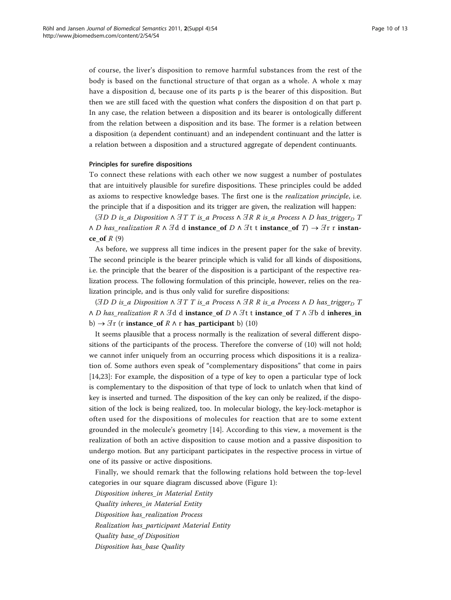of course, the liver's disposition to remove harmful substances from the rest of the body is based on the functional structure of that organ as a whole. A whole x may have a disposition d, because one of its parts p is the bearer of this disposition. But then we are still faced with the question what confers the disposition d on that part p. In any case, the relation between a disposition and its bearer is ontologically different from the relation between a disposition and its base. The former is a relation between a disposition (a dependent continuant) and an independent continuant and the latter is a relation between a disposition and a structured aggregate of dependent continuants.

#### Principles for surefire dispositions

To connect these relations with each other we now suggest a number of postulates that are intuitively plausible for surefire dispositions. These principles could be added as axioms to respective knowledge bases. The first one is the realization principle, i.e. the principle that if a disposition and its trigger are given, the realization will happen:

( $\exists D\ D\ is\_a$  Disposition  $\wedge$   $\exists\ T\ T\ is\_a$  Process  $\wedge$   $\exists\ R\ R\ is\_a$  Process  $\wedge$   $D$  has\_trigger $_D$  T  $\wedge$  D has\_realization R  $\wedge$   $\overline{A}$ d d instance\_of D  $\wedge$   $\overline{A}$ t t instance\_of T)  $\rightarrow$   $\overline{A}$ r r instance\_of  $R(9)$ 

As before, we suppress all time indices in the present paper for the sake of brevity. The second principle is the bearer principle which is valid for all kinds of dispositions, i.e. the principle that the bearer of the disposition is a participant of the respective realization process. The following formulation of this principle, however, relies on the realization principle, and is thus only valid for surefire dispositions:

( $\exists D\ D\ is\_a$  Disposition  $\wedge$   $\exists\ T\ T\ is\_a$  Process  $\wedge$   $\exists\ R\ R\ is\_a$  Process  $\wedge$   $D$  has\_trigger $_D$  T ∧ *D has\_realization R* ∧  $\mathcal{F}$ d d **instance\_of** *D* ∧  $\mathcal{F}$ t t **instance\_of**  $T$  ∧  $\mathcal{F}$ b d **inheres\_in** b)  $\rightarrow$   $\pi$  (r instance\_of R  $\land$  r has\_participant b) (10)

It seems plausible that a process normally is the realization of several different dispositions of the participants of the process. Therefore the converse of (10) will not hold; we cannot infer uniquely from an occurring process which dispositions it is a realization of. Some authors even speak of "complementary dispositions" that come in pairs [[14,](#page-11-0)[23\]](#page-12-0): For example, the disposition of a type of key to open a particular type of lock is complementary to the disposition of that type of lock to unlatch when that kind of key is inserted and turned. The disposition of the key can only be realized, if the disposition of the lock is being realized, too. In molecular biology, the key-lock-metaphor is often used for the dispositions of molecules for reaction that are to some extent grounded in the molecule's geometry [\[14](#page-11-0)]. According to this view, a movement is the realization of both an active disposition to cause motion and a passive disposition to undergo motion. But any participant participates in the respective process in virtue of one of its passive or active dispositions.

Finally, we should remark that the following relations hold between the top-level categories in our square diagram discussed above (Figure [1\)](#page-3-0):

Disposition inheres\_in Material Entity Quality inheres\_in Material Entity Disposition has\_realization Process Realization has\_participant Material Entity Quality base\_of Disposition Disposition has\_base Quality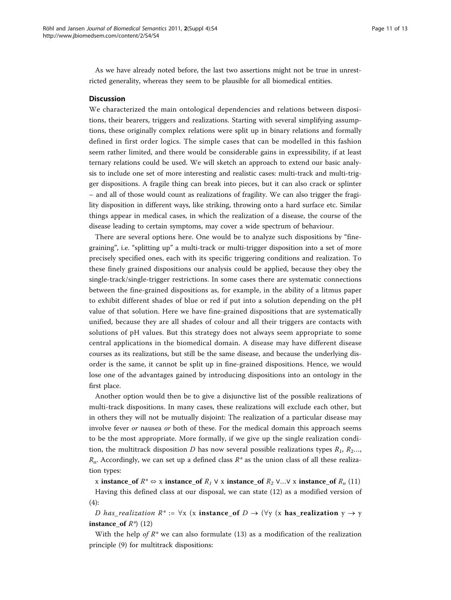As we have already noted before, the last two assertions might not be true in unrestricted generality, whereas they seem to be plausible for all biomedical entities.

## **Discussion**

We characterized the main ontological dependencies and relations between dispositions, their bearers, triggers and realizations. Starting with several simplifying assumptions, these originally complex relations were split up in binary relations and formally defined in first order logics. The simple cases that can be modelled in this fashion seem rather limited, and there would be considerable gains in expressibility, if at least ternary relations could be used. We will sketch an approach to extend our basic analysis to include one set of more interesting and realistic cases: multi-track and multi-trigger dispositions. A fragile thing can break into pieces, but it can also crack or splinter – and all of those would count as realizations of fragility. We can also trigger the fragility disposition in different ways, like striking, throwing onto a hard surface etc. Similar things appear in medical cases, in which the realization of a disease, the course of the disease leading to certain symptoms, may cover a wide spectrum of behaviour.

There are several options here. One would be to analyze such dispositions by "finegraining", i.e. "splitting up" a multi-track or multi-trigger disposition into a set of more precisely specified ones, each with its specific triggering conditions and realization. To these finely grained dispositions our analysis could be applied, because they obey the single-track/single-trigger restrictions. In some cases there are systematic connections between the fine-grained dispositions as, for example, in the ability of a litmus paper to exhibit different shades of blue or red if put into a solution depending on the pH value of that solution. Here we have fine-grained dispositions that are systematically unified, because they are all shades of colour and all their triggers are contacts with solutions of pH values. But this strategy does not always seem appropriate to some central applications in the biomedical domain. A disease may have different disease courses as its realizations, but still be the same disease, and because the underlying disorder is the same, it cannot be split up in fine-grained dispositions. Hence, we would lose one of the advantages gained by introducing dispositions into an ontology in the first place.

Another option would then be to give a disjunctive list of the possible realizations of multi-track dispositions. In many cases, these realizations will exclude each other, but in others they will not be mutually disjoint: The realization of a particular disease may involve fever or nausea or both of these. For the medical domain this approach seems to be the most appropriate. More formally, if we give up the single realization condition, the multitrack disposition D has now several possible realizations types  $R_1, R_2, \ldots$  $R_n$ . Accordingly, we can set up a defined class  $R^*$  as the union class of all these realization types:

x instance\_of  $R^* \Leftrightarrow$  x instance\_of  $R_1 \vee x$  instance\_of  $R_2 \vee ... \vee x$  instance\_of  $R_n$  (11)

Having this defined class at our disposal, we can state (12) as a modified version of (4):

D has\_realization  $R^* := \forall x$  (x instance\_of  $D \to (\forall y \ (x \ has\_realization \ y \to y$ instance\_of  $R^*$ ) (12)

With the help of  $R^*$  we can also formulate (13) as a modification of the realization principle (9) for multitrack dispositions: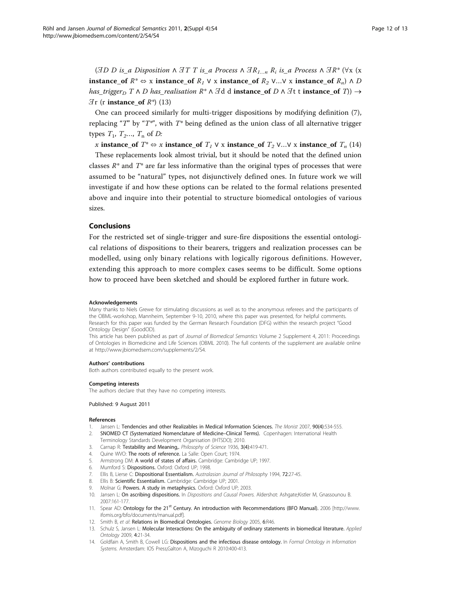<span id="page-11-0"></span>(AD D is\_a Disposition  $\wedge$  AT T is\_a Process  $\wedge$  A $R_{1...n}$   $R_i$  is\_a Process  $\wedge$  A $R^*$  ( $\forall$ x (x instance\_of  $R^*$  ⇔ x instance\_of  $R_1$  ∨ x instance\_of  $R_2$  ∨...∨ x instance\_of  $R_n$ ) ∧ D has\_trigger<sub>D</sub> T  $\land$  D has\_realisation R\*  $\land$  H  $d$  d instance\_of D  $\land$  H t instance\_of T))  $\rightarrow$  $\mathcal{F}$ r (r **instance\_of**  $R^*$ ) (13)

One can proceed similarly for multi-trigger dispositions by modifying definition (7), replacing "T" by "T\*", with  $T^*$  being defined as the union class of all alternative trigger types  $T_1$ ,  $T_2$ ...,  $T_n$  of D:

x instance\_of  $T^* \Leftrightarrow x$  instance\_of  $T_1 \vee x$  instance\_of  $T_2 \vee ... \vee x$  instance\_of  $T_n$  (14)

These replacements look almost trivial, but it should be noted that the defined union classes  $R^*$  and  $T^*$  are far less informative than the original types of processes that were assumed to be "natural" types, not disjunctively defined ones. In future work we will investigate if and how these options can be related to the formal relations presented above and inquire into their potential to structure biomedical ontologies of various sizes.

#### Conclusions

For the restricted set of single-trigger and sure-fire dispositions the essential ontological relations of dispositions to their bearers, triggers and realization processes can be modelled, using only binary relations with logically rigorous definitions. However, extending this approach to more complex cases seems to be difficult. Some options how to proceed have been sketched and should be explored further in future work.

#### Acknowledgements

Many thanks to Niels Grewe for stimulating discussions as well as to the anonymous referees and the participants of the OBML-workshop, Mannheim, September 9-10, 2010, where this paper was presented, for helpful comments. Research for this paper was funded by the German Research Foundation (DFG) within the research project "Good Ontology Design" (GoodOD).

This article has been published as part of Journal of Biomedical Semantics Volume 2 Supplement 4, 2011: Proceedings of Ontologies in Biomedicine and Life Sciences (OBML 2010). The full contents of the supplement are available online at [http://www.jbiomedsem.com/supplements/2/S4.](http://www.jbiomedsem.com/supplements/2/S4)

#### Authors' contributions

Both authors contributed equally to the present work.

#### Competing interests

The authors declare that they have no competing interests.

#### Published: 9 August 2011

#### References

- 1. Jansen L: Tendencies and other Realizables in Medical Information Sciences. The Monist 2007, 90(4):534-555.
- 2. SNOMED CT (Systematized Nomenclature of Medicine–Clinical Terms). Copenhagen: International Health
- Terminology Standards Development Organisation (IHTSDO); 2010.
- 3. Carnap R: Testability and Meaning,. Philosophy of Science 1936, 3(4):419-471.
- 4. Quine WVO: The roots of reference. La Salle: Open Court; 1974.
- 5. Armstrong DM: A world of states of affairs. Cambridge: Cambridge UP; 1997.
- Mumford S: Dispositions. Oxford: Oxford UP; 1998.
- Ellis B, Lierse C: Dispositional Essentialism. Australasian Journal of Philosophy 1994, 72:27-45.
- 8. Ellis B: Scientific Essentialism. Cambridge: Cambridge UP; 2001.
- Molnar G: Powers. A study in metaphysics. Oxford: Oxford UP; 2003.
- 10. Jansen L: On ascribing dispositions. In Dispositions and Causal Powers. Aldershot: Ashgate;Kistler M, Gnassounou B. 2007:161-177.
- 11. Spear AD: Ontology for the 21<sup>st</sup> Century. An introduction with Recommendations (BFO Manual). 2006 [[http://www.](http://www.ifomis.org/bfo/documents/manual.pdf) [ifomis.org/bfo/documents/manual.pdf\]](http://www.ifomis.org/bfo/documents/manual.pdf).
- 12. Smith B, et al: [Relations in Biomedical Ontologies.](http://www.ncbi.nlm.nih.gov/pubmed/15892874?dopt=Abstract) Genome Biology 2005, 6:R46.
- 13. Schulz S, Jansen L: Molecular Interactions: On the ambiguity of ordinary statements in biomedical literature. Applied Ontology 2009, 4:21-34.
- 14. Goldfain A, Smith B, Cowell LG: Dispositions and the infectious disease ontology. In Formal Ontology in Information Systems. Amsterdam: IOS Press;Galton A, Mizoguchi R 2010:400-413.